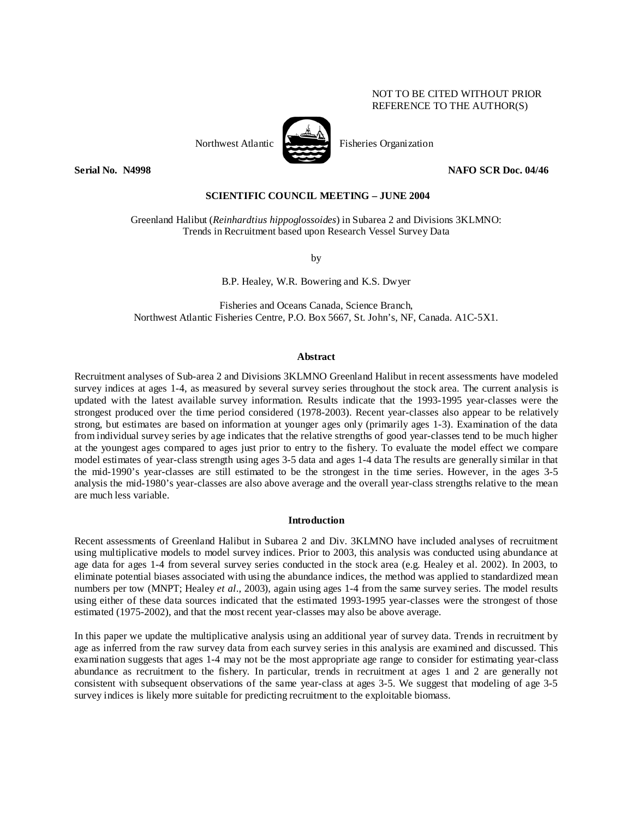### NOT TO BE CITED WITHOUT PRIOR REFERENCE TO THE AUTHOR(S)

Northwest Atlantic Fisheries Organization

**Serial No. N4998 NAFO SCR Doc. 04/46** 

## **SCIENTIFIC COUNCIL MEETING – JUNE 2004**

Greenland Halibut (*Reinhardtius hippoglossoides*) in Subarea 2 and Divisions 3KLMNO: Trends in Recruitment based upon Research Vessel Survey Data

by

B.P. Healey, W.R. Bowering and K.S. Dwyer

Fisheries and Oceans Canada, Science Branch, Northwest Atlantic Fisheries Centre, P.O. Box 5667, St. John's, NF, Canada. A1C-5X1.

### **Abstract**

Recruitment analyses of Sub-area 2 and Divisions 3KLMNO Greenland Halibut in recent assessments have modeled survey indices at ages 1-4, as measured by several survey series throughout the stock area. The current analysis is updated with the latest available survey information. Results indicate that the 1993-1995 year-classes were the strongest produced over the time period considered (1978-2003). Recent year-classes also appear to be relatively strong, but estimates are based on information at younger ages only (primarily ages 1-3). Examination of the data from individual survey series by age indicates that the relative strengths of good year-classes tend to be much higher at the youngest ages compared to ages just prior to entry to the fishery. To evaluate the model effect we compare model estimates of year-class strength using ages 3-5 data and ages 1-4 data The results are generally similar in that the mid-1990's year-classes are still estimated to be the strongest in the time series. However, in the ages 3-5 analysis the mid-1980's year-classes are also above average and the overall year-class strengths relative to the mean are much less variable.

#### **Introduction**

Recent assessments of Greenland Halibut in Subarea 2 and Div. 3KLMNO have included analyses of recruitment using multiplicative models to model survey indices. Prior to 2003, this analysis was conducted using abundance at age data for ages 1-4 from several survey series conducted in the stock area (e.g. Healey et al. 2002). In 2003, to eliminate potential biases associated with using the abundance indices, the method was applied to standardized mean numbers per tow (MNPT; Healey *et al*., 2003), again using ages 1-4 from the same survey series. The model results using either of these data sources indicated that the estimated 1993-1995 year-classes were the strongest of those estimated (1975-2002), and that the most recent year-classes may also be above average.

In this paper we update the multiplicative analysis using an additional year of survey data. Trends in recruitment by age as inferred from the raw survey data from each survey series in this analysis are examined and discussed. This examination suggests that ages 1-4 may not be the most appropriate age range to consider for estimating year-class abundance as recruitment to the fishery. In particular, trends in recruitment at ages 1 and 2 are generally not consistent with subsequent observations of the same year-class at ages 3-5. We suggest that modeling of age 3-5 survey indices is likely more suitable for predicting recruitment to the exploitable biomass.

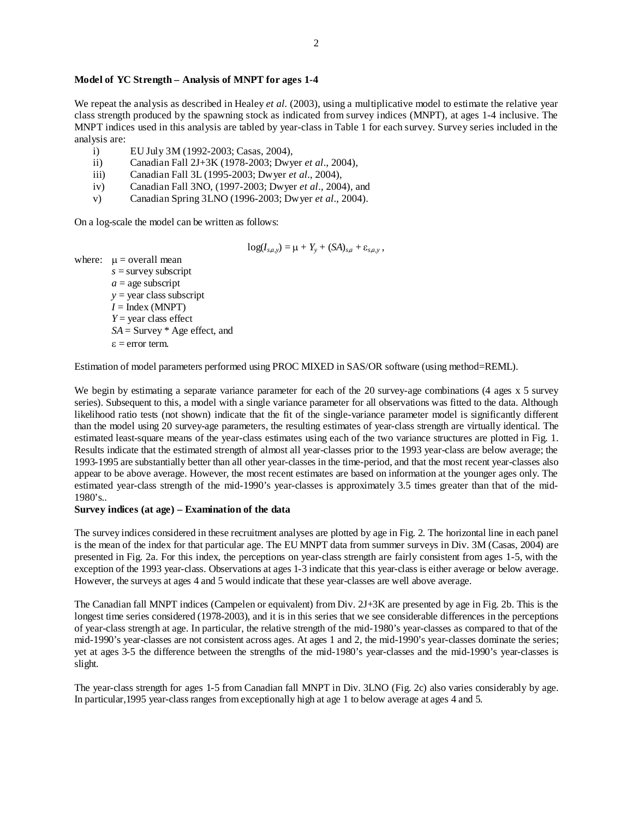# **Model of YC Strength – Analysis of MNPT for ages 1-4**

We repeat the analysis as described in Healey *et al.* (2003), using a multiplicative model to estimate the relative year class strength produced by the spawning stock as indicated from survey indices (MNPT), at ages 1-4 inclusive. The MNPT indices used in this analysis are tabled by year-class in Table 1 for each survey. Survey series included in the analysis are:

- i) EU July 3M (1992-2003; Casas, 2004),
- ii) Canadian Fall 2J+3K (1978-2003; Dwyer *et al*., 2004),
- iii) Canadian Fall 3L (1995-2003; Dwyer *et al*., 2004),
- iv) Canadian Fall 3NO, (1997-2003; Dwyer *et al*., 2004), and
- v) Canadian Spring 3LNO (1996-2003; Dwyer *et al*., 2004).

On a log-scale the model can be written as follows:

$$
log(I_{s,a,y}) = \mu + Y_y + (SA)_{s,a} + \varepsilon_{s,a,y},
$$

where:  $\mu$  = overall mean

*s* = survey subscript  $a =$ age subscript *y* = year class subscript  $I = \text{Index (MNPT)}$ *Y* = year class effect *SA* = Survey \* Age effect, and  $\epsilon$  = error term.

Estimation of model parameters performed using PROC MIXED in SAS/OR software (using method=REML).

We begin by estimating a separate variance parameter for each of the 20 survey-age combinations (4 ages x 5 survey series). Subsequent to this, a model with a single variance parameter for all observations was fitted to the data. Although likelihood ratio tests (not shown) indicate that the fit of the single-variance parameter model is significantly different than the model using 20 survey-age parameters, the resulting estimates of year-class strength are virtually identical. The estimated least-square means of the year-class estimates using each of the two variance structures are plotted in Fig. 1. Results indicate that the estimated strength of almost all year-classes prior to the 1993 year-class are below average; the 1993-1995 are substantially better than all other year-classes in the time-period, and that the most recent year-classes also appear to be above average. However, the most recent estimates are based on information at the younger ages only. The estimated year-class strength of the mid-1990's year-classes is approximately 3.5 times greater than that of the mid-1980's..

### **Survey indices (at age) – Examination of the data**

The survey indices considered in these recruitment analyses are plotted by age in Fig. 2. The horizontal line in each panel is the mean of the index for that particular age. The EU MNPT data from summer surveys in Div. 3M (Casas, 2004) are presented in Fig. 2a. For this index, the perceptions on year-class strength are fairly consistent from ages 1-5, with the exception of the 1993 year-class. Observations at ages 1-3 indicate that this year-class is either average or below average. However, the surveys at ages 4 and 5 would indicate that these year-classes are well above average.

The Canadian fall MNPT indices (Campelen or equivalent) from Div. 2J+3K are presented by age in Fig. 2b. This is the longest time series considered (1978-2003), and it is in this series that we see considerable differences in the perceptions of year-class strength at age. In particular, the relative strength of the mid-1980's year-classes as compared to that of the mid-1990's year-classes are not consistent across ages. At ages 1 and 2, the mid-1990's year-classes dominate the series; yet at ages 3-5 the difference between the strengths of the mid-1980's year-classes and the mid-1990's year-classes is slight.

The year-class strength for ages 1-5 from Canadian fall MNPT in Div. 3LNO (Fig. 2c) also varies considerably by age. In particular,1995 year-class ranges from exceptionally high at age 1 to below average at ages 4 and 5.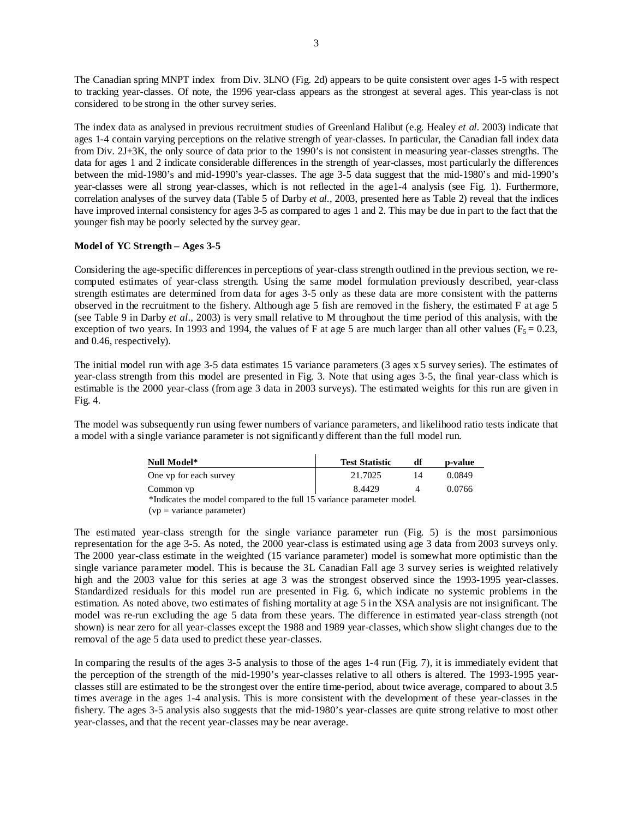The Canadian spring MNPT index from Div. 3LNO (Fig. 2d) appears to be quite consistent over ages 1-5 with respect to tracking year-classes. Of note, the 1996 year-class appears as the strongest at several ages. This year-class is not considered to be strong in the other survey series.

The index data as analysed in previous recruitment studies of Greenland Halibut (e.g. Healey *et al.* 2003) indicate that ages 1-4 contain varying perceptions on the relative strength of year-classes. In particular, the Canadian fall index data from Div. 2J+3K, the only source of data prior to the 1990's is not consistent in measuring year-classes strengths. The data for ages 1 and 2 indicate considerable differences in the strength of year-classes, most particularly the differences between the mid-1980's and mid-1990's year-classes. The age 3-5 data suggest that the mid-1980's and mid-1990's year-classes were all strong year-classes, which is not reflected in the age1-4 analysis (see Fig. 1). Furthermore, correlation analyses of the survey data (Table 5 of Darby *et al.*, 2003, presented here as Table 2) reveal that the indices have improved internal consistency for ages 3-5 as compared to ages 1 and 2. This may be due in part to the fact that the younger fish may be poorly selected by the survey gear.

## **Model of YC Strength – Ages 3-5**

Considering the age-specific differences in perceptions of year-class strength outlined in the previous section, we recomputed estimates of year-class strength. Using the same model formulation previously described, year-class strength estimates are determined from data for ages 3-5 only as these data are more consistent with the patterns observed in the recruitment to the fishery. Although age 5 fish are removed in the fishery, the estimated F at age 5 (see Table 9 in Darby *et al*., 2003) is very small relative to M throughout the time period of this analysis, with the exception of two years. In 1993 and 1994, the values of F at age 5 are much larger than all other values ( $F_5 = 0.23$ , and 0.46, respectively).

The initial model run with age 3-5 data estimates 15 variance parameters (3 ages x 5 survey series). The estimates of year-class strength from this model are presented in Fig. 3. Note that using ages 3-5, the final year-class which is estimable is the 2000 year-class (from age 3 data in 2003 surveys). The estimated weights for this run are given in Fig. 4.

The model was subsequently run using fewer numbers of variance parameters, and likelihood ratio tests indicate that a model with a single variance parameter is not significantly different than the full model run.

| Null Model*                                                            | <b>Test Statistic</b> | df | p-value |  |  |  |
|------------------------------------------------------------------------|-----------------------|----|---------|--|--|--|
| One vp for each survey                                                 | 21.7025               | 14 | 0.0849  |  |  |  |
| Common vp                                                              | 8.4429                |    | 0.0766  |  |  |  |
| *Indicates the model compared to the full 15 variance parameter model. |                       |    |         |  |  |  |
| $(vp = variance parameter)$                                            |                       |    |         |  |  |  |

The estimated year-class strength for the single variance parameter run (Fig. 5) is the most parsimonious representation for the age 3-5. As noted, the 2000 year-class is estimated using age 3 data from 2003 surveys only. The 2000 year-class estimate in the weighted (15 variance parameter) model is somewhat more optimistic than the single variance parameter model. This is because the 3L Canadian Fall age 3 survey series is weighted relatively high and the 2003 value for this series at age 3 was the strongest observed since the 1993-1995 year-classes. Standardized residuals for this model run are presented in Fig. 6, which indicate no systemic problems in the estimation. As noted above, two estimates of fishing mortality at age 5 in the XSA analysis are not insignificant. The model was re-run excluding the age 5 data from these years. The difference in estimated year-class strength (not shown) is near zero for all year-classes except the 1988 and 1989 year-classes, which show slight changes due to the removal of the age 5 data used to predict these year-classes.

In comparing the results of the ages 3-5 analysis to those of the ages 1-4 run (Fig. 7), it is immediately evident that the perception of the strength of the mid-1990's year-classes relative to all others is altered. The 1993-1995 yearclasses still are estimated to be the strongest over the entire time-period, about twice average, compared to about 3.5 times average in the ages 1-4 analysis. This is more consistent with the development of these year-classes in the fishery. The ages 3-5 analysis also suggests that the mid-1980's year-classes are quite strong relative to most other year-classes, and that the recent year-classes may be near average.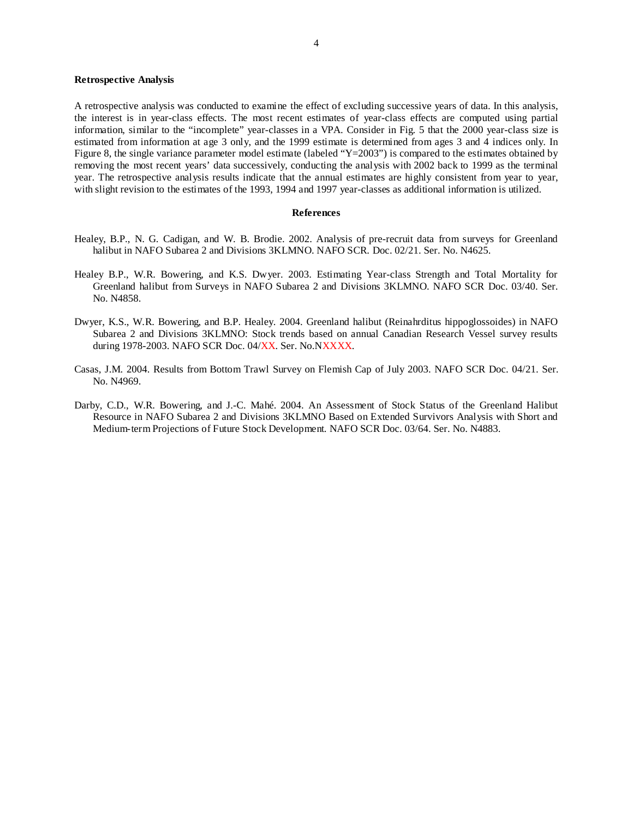### **Retrospective Analysis**

A retrospective analysis was conducted to examine the effect of excluding successive years of data. In this analysis, the interest is in year-class effects. The most recent estimates of year-class effects are computed using partial information, similar to the "incomplete" year-classes in a VPA. Consider in Fig. 5 that the 2000 year-class size is estimated from information at age 3 only, and the 1999 estimate is determined from ages 3 and 4 indices only. In Figure 8, the single variance parameter model estimate (labeled "Y=2003") is compared to the estimates obtained by removing the most recent years' data successively, conducting the analysis with 2002 back to 1999 as the terminal year. The retrospective analysis results indicate that the annual estimates are highly consistent from year to year, with slight revision to the estimates of the 1993, 1994 and 1997 year-classes as additional information is utilized.

#### **References**

- Healey, B.P., N. G. Cadigan, and W. B. Brodie. 2002. Analysis of pre-recruit data from surveys for Greenland halibut in NAFO Subarea 2 and Divisions 3KLMNO. NAFO SCR. Doc. 02/21. Ser. No. N4625.
- Healey B.P., W.R. Bowering, and K.S. Dwyer. 2003. Estimating Year-class Strength and Total Mortality for Greenland halibut from Surveys in NAFO Subarea 2 and Divisions 3KLMNO. NAFO SCR Doc. 03/40. Ser. No. N4858.
- Dwyer, K.S., W.R. Bowering, and B.P. Healey. 2004. Greenland halibut (Reinahrditus hippoglossoides) in NAFO Subarea 2 and Divisions 3KLMNO: Stock trends based on annual Canadian Research Vessel survey results during 1978-2003. NAFO SCR Doc. 04/XX. Ser. No.NXXXX.
- Casas, J.M. 2004. Results from Bottom Trawl Survey on Flemish Cap of July 2003. NAFO SCR Doc. 04/21. Ser. No. N4969.
- Darby, C.D., W.R. Bowering, and J.-C. Mahé. 2004. An Assessment of Stock Status of the Greenland Halibut Resource in NAFO Subarea 2 and Divisions 3KLMNO Based on Extended Survivors Analysis with Short and Medium-term Projections of Future Stock Development. NAFO SCR Doc. 03/64. Ser. No. N4883.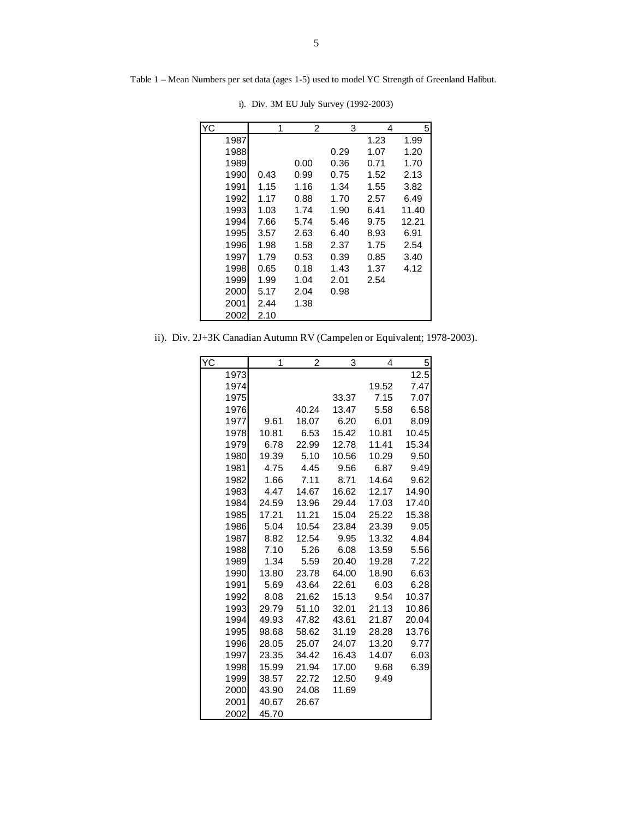|        | 1    | 2    | 3     | 4    |     |  |
|--------|------|------|-------|------|-----|--|
| 1987   |      |      |       | 1.23 | 1.  |  |
| 1988   |      |      | 0.29  | 1.07 | 1.  |  |
| 1989   |      | 0.00 | 0.36  | 0.71 | 1.  |  |
| 1990   | 0.43 | 0.99 | 0.75  | 1.52 | 2.  |  |
| 1991   | 1.15 | 1.16 | 1.34  | 1.55 | 3.  |  |
| 1992   | 1.17 | 0.88 | 1.70  | 2.57 | 6.  |  |
| 1993   | 1.03 | 1.74 | 1.90  | 6.41 | 11  |  |
| 1994   | 7.66 | 5.74 | 5.46  | 9.75 | 12  |  |
| 1995   | 3.57 | 2.63 | 6.40  | 8.93 | 6.  |  |
| 1996   | 1.98 | 1.58 | 2.37  | 1.75 | 2.5 |  |
| 1997   | 1.79 | 0.53 | 0.39  | 0.85 | 3.  |  |
| 1 QQRI | በ 65 | በ 1Ջ | 1 1 2 | 1 27 | Λ   |  |

Table 1 – Mean Numbers per set data (ages 1-5) used to model YC Strength of Greenland Halibut.

| YC   | 1    | 2    | 3    | 4    | 5     |
|------|------|------|------|------|-------|
| 1987 |      |      |      | 1.23 | 1.99  |
| 1988 |      |      | 0.29 | 1.07 | 1.20  |
| 1989 |      | 0.00 | 0.36 | 0.71 | 1.70  |
| 1990 | 0.43 | 0.99 | 0.75 | 1.52 | 2.13  |
| 1991 | 1.15 | 1.16 | 1.34 | 1.55 | 3.82  |
| 1992 | 1.17 | 0.88 | 1.70 | 2.57 | 6.49  |
| 1993 | 1.03 | 1.74 | 1.90 | 6.41 | 11.40 |
| 1994 | 7.66 | 5.74 | 5.46 | 9.75 | 12.21 |
| 1995 | 3.57 | 2.63 | 6.40 | 8.93 | 6.91  |
| 1996 | 1.98 | 1.58 | 2.37 | 1.75 | 2.54  |
| 1997 | 1.79 | 0.53 | 0.39 | 0.85 | 3.40  |
| 1998 | 0.65 | 0.18 | 1.43 | 1.37 | 4.12  |
| 1999 | 1.99 | 1.04 | 2.01 | 2.54 |       |
| 2000 | 5.17 | 2.04 | 0.98 |      |       |
| 2001 | 2.44 | 1.38 |      |      |       |
| 2002 | 2.10 |      |      |      |       |

i). Div. 3M EU July Survey (1992-2003)

ii). Div. 2J+3K Canadian Autumn RV (Campelen or Equivalent; 1978-2003).

| YC   | 1     | 2     | 3     | 4     | 5     |
|------|-------|-------|-------|-------|-------|
| 1973 |       |       |       |       | 12.5  |
| 1974 |       |       |       | 19.52 | 7.47  |
| 1975 |       |       | 33.37 | 7.15  | 7.07  |
| 1976 |       | 40.24 | 13.47 | 5.58  | 6.58  |
| 1977 | 9.61  | 18.07 | 6.20  | 6.01  | 8.09  |
| 1978 | 10.81 | 6.53  | 15.42 | 10.81 | 10.45 |
| 1979 | 6.78  | 22.99 | 12.78 | 11.41 | 15.34 |
| 1980 | 19.39 | 5.10  | 10.56 | 10.29 | 9.50  |
| 1981 | 4.75  | 4.45  | 9.56  | 6.87  | 9.49  |
| 1982 | 1.66  | 7.11  | 8.71  | 14.64 | 9.62  |
| 1983 | 4.47  | 14.67 | 16.62 | 12.17 | 14.90 |
| 1984 | 24.59 | 13.96 | 29.44 | 17.03 | 17.40 |
| 1985 | 17.21 | 11.21 | 15.04 | 25.22 | 15.38 |
| 1986 | 5.04  | 10.54 | 23.84 | 23.39 | 9.05  |
| 1987 | 8.82  | 12.54 | 9.95  | 13.32 | 4.84  |
| 1988 | 7.10  | 5.26  | 6.08  | 13.59 | 5.56  |
| 1989 | 1.34  | 5.59  | 20.40 | 19.28 | 7.22  |
| 1990 | 13.80 | 23.78 | 64.00 | 18.90 | 6.63  |
| 1991 | 5.69  | 43.64 | 22.61 | 6.03  | 6.28  |
| 1992 | 8.08  | 21.62 | 15.13 | 9.54  | 10.37 |
| 1993 | 29.79 | 51.10 | 32.01 | 21.13 | 10.86 |
| 1994 | 49.93 | 47.82 | 43.61 | 21.87 | 20.04 |
| 1995 | 98.68 | 58.62 | 31.19 | 28.28 | 13.76 |
| 1996 | 28.05 | 25.07 | 24.07 | 13.20 | 9.77  |
| 1997 | 23.35 | 34.42 | 16.43 | 14.07 | 6.03  |
| 1998 | 15.99 | 21.94 | 17.00 | 9.68  | 6.39  |
| 1999 | 38.57 | 22.72 | 12.50 | 9.49  |       |
| 2000 | 43.90 | 24.08 | 11.69 |       |       |
| 2001 | 40.67 | 26.67 |       |       |       |
| 2002 | 45.70 |       |       |       |       |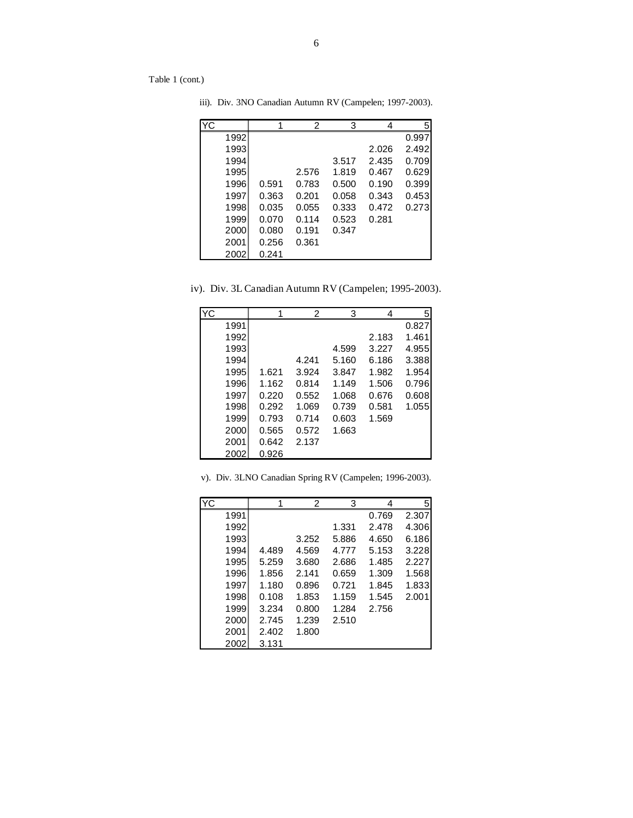Table 1 (cont.)

| ΥC   | 1     | 2     | 3     | 4     | 51    |
|------|-------|-------|-------|-------|-------|
| 1992 |       |       |       |       | 0.997 |
| 1993 |       |       |       | 2.026 | 2.492 |
| 1994 |       |       | 3.517 | 2.435 | 0.709 |
| 1995 |       | 2.576 | 1.819 | 0.467 | 0.629 |
| 1996 | 0.591 | 0.783 | 0.500 | 0.190 | 0.399 |
| 1997 | 0.363 | 0.201 | 0.058 | 0.343 | 0.453 |
| 1998 | 0.035 | 0.055 | 0.333 | 0.472 | 0.273 |
| 1999 | 0.070 | 0.114 | 0.523 | 0.281 |       |
| 2000 | 0.080 | 0.191 | 0.347 |       |       |
| 2001 | 0.256 | 0.361 |       |       |       |
| 2002 | 0.241 |       |       |       |       |

iii). Div. 3NO Canadian Autumn RV (Campelen; 1997-2003).

iv). Div. 3L Canadian Autumn RV (Campelen; 1995-2003).

| <b>YC</b> |       | $\mathcal{P}$ | 3     | 4     | 5     |
|-----------|-------|---------------|-------|-------|-------|
| 1991      |       |               |       |       | 0.827 |
| 1992      |       |               |       | 2.183 | 1.461 |
| 1993      |       |               | 4.599 | 3.227 | 4.955 |
| 1994      |       | 4.241         | 5.160 | 6.186 | 3.388 |
| 1995      | 1.621 | 3.924         | 3.847 | 1.982 | 1.954 |
| 1996      | 1.162 | 0.814         | 1.149 | 1.506 | 0.796 |
| 1997      | 0.220 | 0.552         | 1.068 | 0.676 | 0.608 |
| 1998      | 0.292 | 1.069         | 0.739 | 0.581 | 1.055 |
| 1999      | 0.793 | 0.714         | 0.603 | 1.569 |       |
| 2000      | 0.565 | 0.572         | 1.663 |       |       |
| 2001      | 0.642 | 2.137         |       |       |       |
| 2002      | 0.926 |               |       |       |       |

|  |  |  | v). Div. 3LNO Canadian Spring RV (Campelen; 1996-2003). |
|--|--|--|---------------------------------------------------------|
|  |  |  |                                                         |

| YC   | 1     | 2     | 3     | 4     | 5     |
|------|-------|-------|-------|-------|-------|
| 1991 |       |       |       | 0.769 | 2.307 |
| 1992 |       |       | 1.331 | 2.478 | 4.306 |
| 1993 |       | 3.252 | 5.886 | 4.650 | 6.186 |
| 1994 | 4.489 | 4.569 | 4.777 | 5.153 | 3.228 |
| 1995 | 5.259 | 3.680 | 2.686 | 1.485 | 2.227 |
| 1996 | 1.856 | 2.141 | 0.659 | 1.309 | 1.568 |
| 1997 | 1.180 | 0.896 | 0.721 | 1.845 | 1.833 |
| 1998 | 0.108 | 1.853 | 1.159 | 1.545 | 2.001 |
| 1999 | 3.234 | 0.800 | 1.284 | 2.756 |       |
| 2000 | 2.745 | 1.239 | 2.510 |       |       |
| 2001 | 2.402 | 1.800 |       |       |       |
| 2002 | 3.131 |       |       |       |       |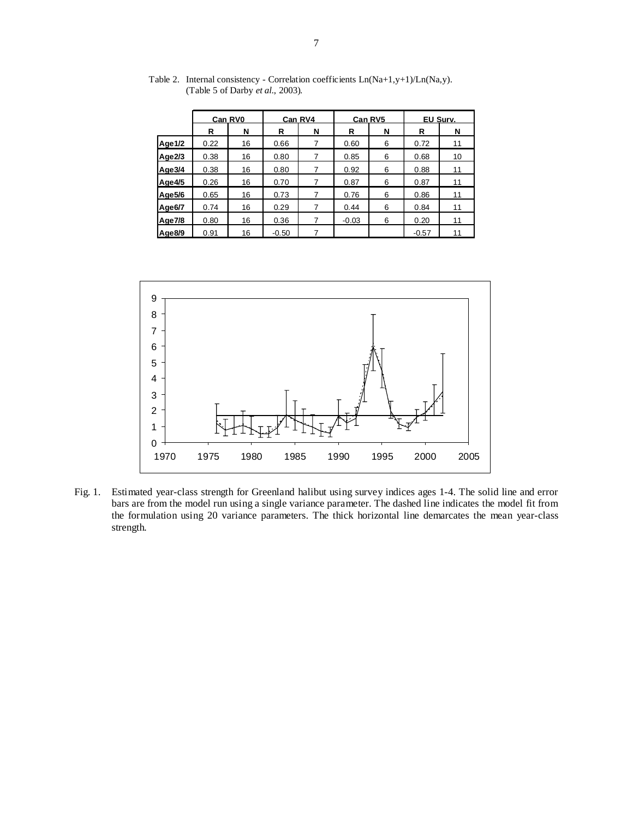|           |      | Can RV4<br>Can RV0<br><b>Can RV5</b> |         |   |         | EU Surv. |         |    |
|-----------|------|--------------------------------------|---------|---|---------|----------|---------|----|
|           | R    | N                                    | R       | N | R       | N        | R       | N  |
| Age 1/2   | 0.22 | 16                                   | 0.66    |   | 0.60    | 6        | 0.72    | 11 |
| Age $2/3$ | 0.38 | 16                                   | 0.80    | 7 | 0.85    | 6        | 0.68    | 10 |
| Age3/4    | 0.38 | 16                                   | 0.80    |   | 0.92    | 6        | 0.88    | 11 |
| Age4/5    | 0.26 | 16                                   | 0.70    |   | 0.87    | 6        | 0.87    | 11 |
| Age5/6    | 0.65 | 16                                   | 0.73    |   | 0.76    | 6        | 0.86    | 11 |
| Age6/7    | 0.74 | 16                                   | 0.29    | 7 | 0.44    | 6        | 0.84    | 11 |
| Age7/8    | 0.80 | 16                                   | 0.36    |   | $-0.03$ | 6        | 0.20    | 11 |
| Age8/9    | 0.91 | 16                                   | $-0.50$ |   |         |          | $-0.57$ | 11 |

Table 2. Internal consistency - Correlation coefficients Ln(Na+1,y+1)/Ln(Na,y). (Table 5 of Darby *et al.*, 2003).



Fig. 1. Estimated year-class strength for Greenland halibut using survey indices ages 1-4. The solid line and error bars are from the model run using a single variance parameter. The dashed line indicates the model fit from the formulation using 20 variance parameters. The thick horizontal line demarcates the mean year-class strength.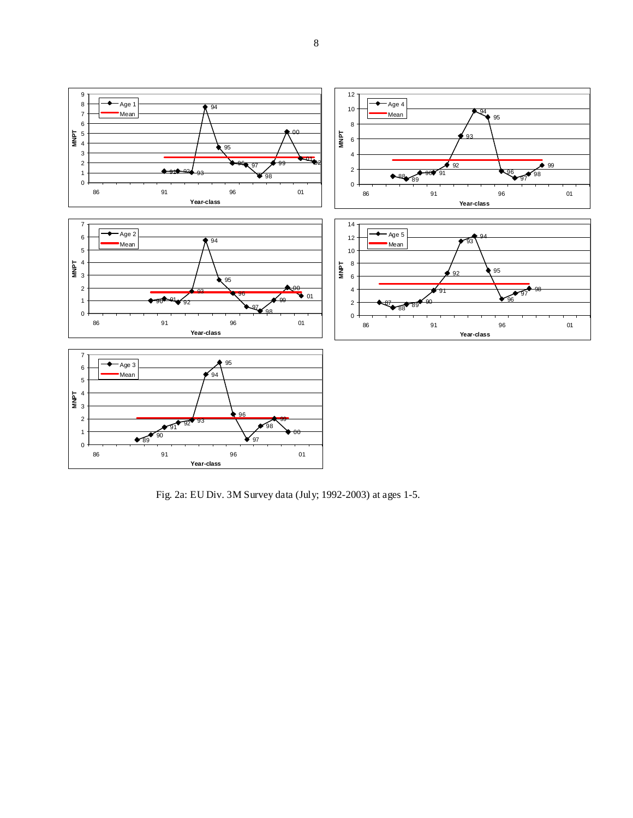

Fig. 2a: EU Div. 3M Survey data (July; 1992-2003) at ages 1-5.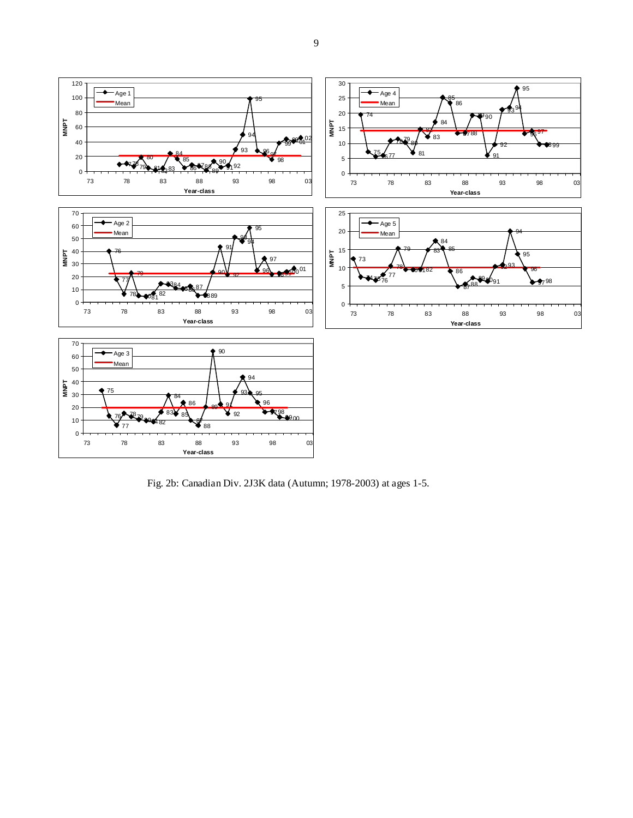

Fig. 2b: Canadian Div. 2J3K data (Autumn; 1978-2003) at ages 1-5.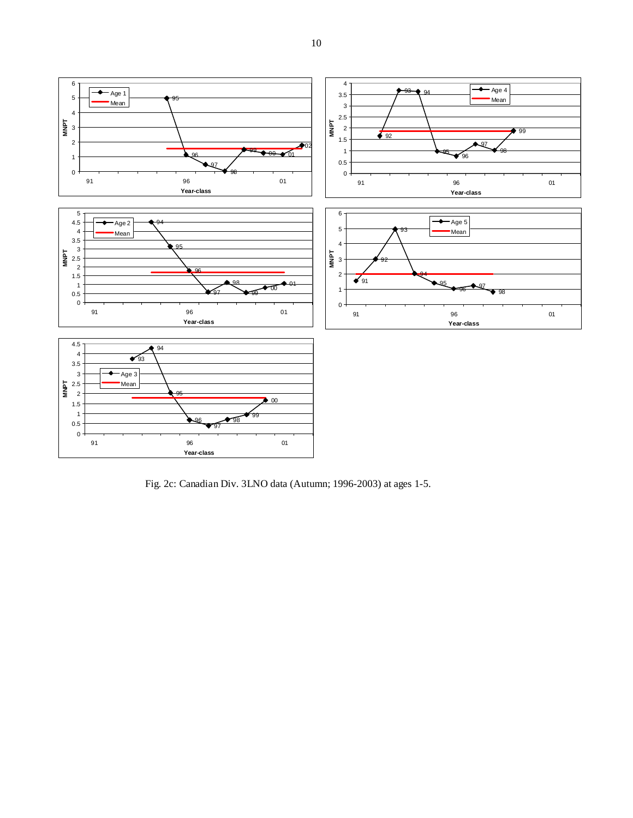

Fig. 2c: Canadian Div. 3LNO data (Autumn; 1996-2003) at ages 1-5.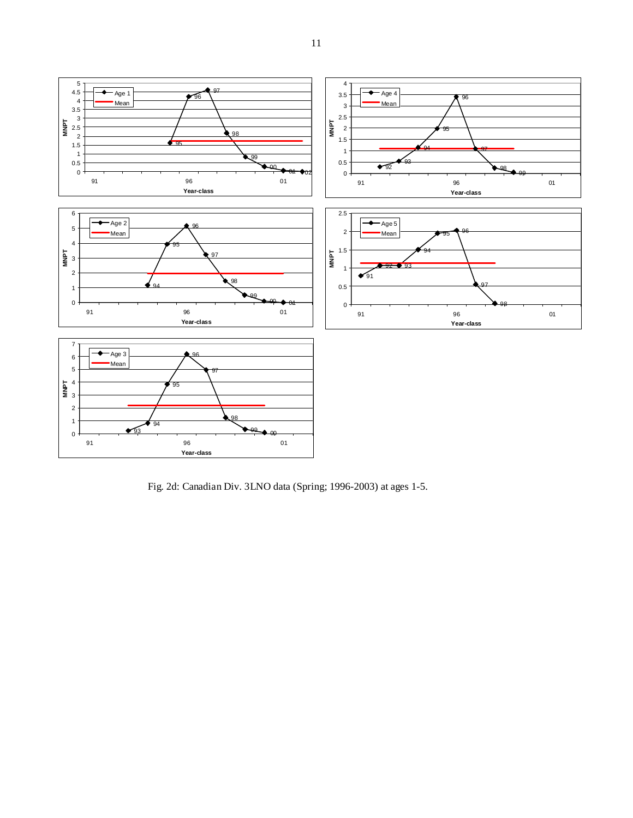

Fig. 2d: Canadian Div. 3LNO data (Spring; 1996-2003) at ages 1-5.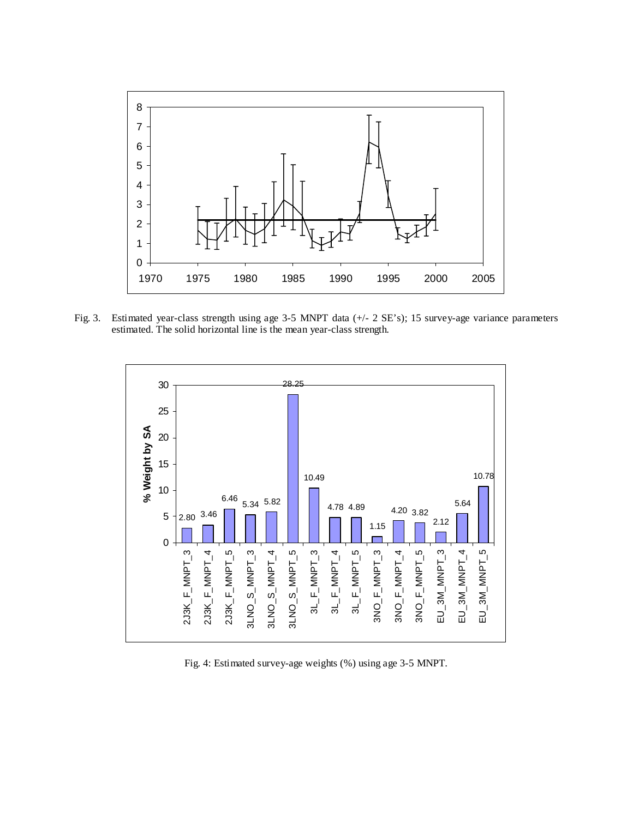

Fig. 3. Estimated year-class strength using age 3-5 MNPT data (+/- 2 SE's); 15 survey-age variance parameters estimated. The solid horizontal line is the mean year-class strength.



Fig. 4: Estimated survey-age weights (%) using age 3-5 MNPT.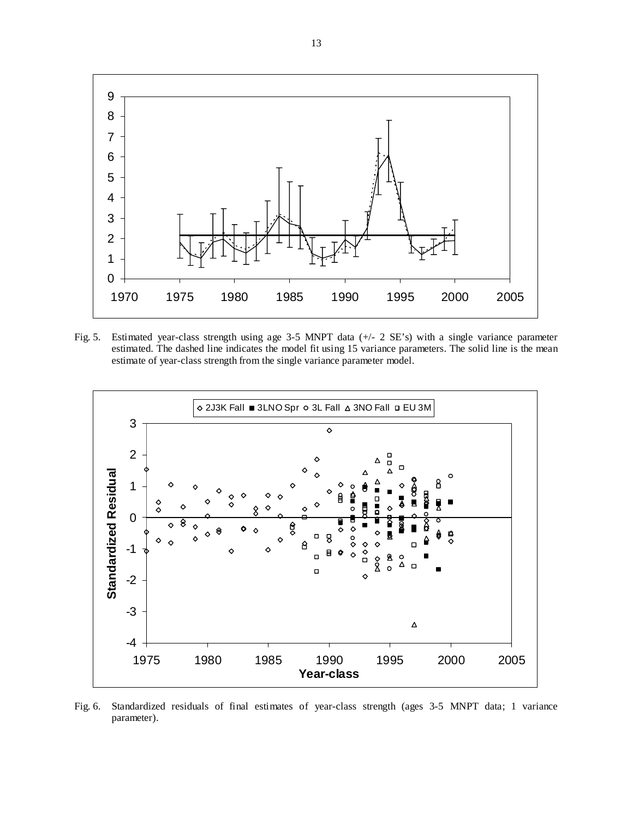

Fig. 5. Estimated year-class strength using age 3-5 MNPT data (+/- 2 SE's) with a single variance parameter estimated. The dashed line indicates the model fit using 15 variance parameters. The solid line is the mean estimate of year-class strength from the single variance parameter model.



Fig. 6. Standardized residuals of final estimates of year-class strength (ages 3-5 MNPT data; 1 variance parameter).